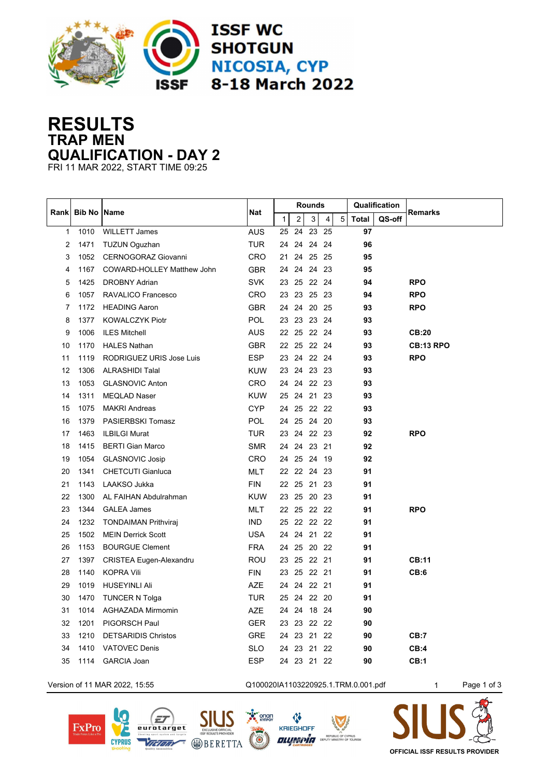

## **RESULTS TRAP MEN QUALIFICATION - DAY 2**

FRI 11 MAR 2022, START TIME 09:25

|              |                    |                                | Nat        |              |             | <b>Rounds</b> |   |   | Qualification |        |                  |
|--------------|--------------------|--------------------------------|------------|--------------|-------------|---------------|---|---|---------------|--------|------------------|
| Rank         | <b>Bib No Name</b> |                                |            | $\mathbf{1}$ | 2           | 3             | 4 | 5 | <b>Total</b>  | QS-off | <b>Remarks</b>   |
| $\mathbf{1}$ | 1010               | <b>WILLETT James</b>           | <b>AUS</b> | 25           | 24          | 23 25         |   |   | 97            |        |                  |
| 2            | 1471               | <b>TUZUN Oguzhan</b>           | <b>TUR</b> | 24           | 24          | 24 24         |   |   | 96            |        |                  |
| 3            | 1052               | CERNOGORAZ Giovanni            | CRO        | 21           | 24          | 25 25         |   |   | 95            |        |                  |
| 4            | 1167               | COWARD-HOLLEY Matthew John     | <b>GBR</b> | 24           |             | 24 24 23      |   |   | 95            |        |                  |
| 5            | 1425               | <b>DROBNY Adrian</b>           | <b>SVK</b> |              | 23 25 22 24 |               |   |   | 94            |        | <b>RPO</b>       |
| 6            | 1057               | RAVALICO Francesco             | <b>CRO</b> |              | 23 23 25 23 |               |   |   | 94            |        | <b>RPO</b>       |
| 7            | 1172               | <b>HEADING Aaron</b>           | <b>GBR</b> |              | 24 24 20 25 |               |   |   | 93            |        | <b>RPO</b>       |
| 8            | 1377               | <b>KOWALCZYK Piotr</b>         | POL        |              | 23 23 23 24 |               |   |   | 93            |        |                  |
| 9            | 1006               | <b>ILES Mitchell</b>           | <b>AUS</b> |              | 22 25 22 24 |               |   |   | 93            |        | <b>CB:20</b>     |
| 10           | 1170               | <b>HALES Nathan</b>            | <b>GBR</b> |              | 22 25 22 24 |               |   |   | 93            |        | <b>CB:13 RPO</b> |
| 11           | 1119               | RODRIGUEZ URIS Jose Luis       | <b>ESP</b> | 23           |             | 24 22 24      |   |   | 93            |        | <b>RPO</b>       |
| 12           | 1306               | <b>ALRASHIDI Talal</b>         | <b>KUW</b> |              | 23 24 23 23 |               |   |   | 93            |        |                  |
| 13           | 1053               | <b>GLASNOVIC Anton</b>         | <b>CRO</b> | 24           |             | 24 22 23      |   |   | 93            |        |                  |
| 14           | 1311               | <b>MEQLAD Naser</b>            | <b>KUW</b> |              | 25 24 21 23 |               |   |   | 93            |        |                  |
| 15           | 1075               | <b>MAKRI Andreas</b>           | CYP        |              | 24 25 22 22 |               |   |   | 93            |        |                  |
| 16           | 1379               | <b>PASIERBSKI Tomasz</b>       | <b>POL</b> | 24           |             | 25 24 20      |   |   | 93            |        |                  |
| 17           | 1463               | <b>ILBILGI Murat</b>           | TUR        | 23           |             | 24 22 23      |   |   | 92            |        | <b>RPO</b>       |
| 18           | 1415               | <b>BERTI Gian Marco</b>        | <b>SMR</b> | 24           | 24          | 23 21         |   |   | 92            |        |                  |
| 19           | 1054               | <b>GLASNOVIC Josip</b>         | <b>CRO</b> |              | 24 25       | 24 19         |   |   | 92            |        |                  |
| 20           | 1341               | <b>CHETCUTI Gianluca</b>       | <b>MLT</b> |              | 22 22 24 23 |               |   |   | 91            |        |                  |
| 21           | 1143               | LAAKSO Jukka                   | <b>FIN</b> | 22           | 25          | 21 23         |   |   | 91            |        |                  |
| 22           | 1300               | AL FAIHAN Abdulrahman          | <b>KUW</b> | 23           | 25          | 20 23         |   |   | 91            |        |                  |
| 23           | 1344               | <b>GALEA James</b>             | <b>MLT</b> | 22           |             | 25 22 22      |   |   | 91            |        | <b>RPO</b>       |
| 24           | 1232               | <b>TONDAIMAN Prithviraj</b>    | <b>IND</b> | 25           |             | 22 22 22      |   |   | 91            |        |                  |
| 25           | 1502               | <b>MEIN Derrick Scott</b>      | <b>USA</b> | 24           |             | 24 21 22      |   |   | 91            |        |                  |
| 26           | 1153               | <b>BOURGUE Clement</b>         | <b>FRA</b> | 24           |             | 25 20 22      |   |   | 91            |        |                  |
| 27           | 1397               | <b>CRISTEA Eugen-Alexandru</b> | <b>ROU</b> | 23           |             | 25 22 21      |   |   | 91            |        | CB:11            |
| 28           | 1140               | <b>KOPRA Vili</b>              | <b>FIN</b> | 23           |             | 25 22 21      |   |   | 91            |        | CB:6             |
| 29           | 1019               | <b>HUSEYINLI Ali</b>           | <b>AZE</b> | 24           |             | 24 22 21      |   |   | 91            |        |                  |
| 30           | 1470               | <b>TUNCER N Tolga</b>          | <b>TUR</b> | 25           |             | 24 22 20      |   |   | 91            |        |                  |
| 31           | 1014               | AGHAZADA Mirmomin              | AZE        | 24           |             | 24 18 24      |   |   | 90            |        |                  |
| 32           | 1201               | PIGORSCH Paul                  | <b>GER</b> |              | 23 23 22 22 |               |   |   | 90            |        |                  |
| 33           | 1210               | <b>DETSARIDIS Christos</b>     | <b>GRE</b> |              | 24 23 21 22 |               |   |   | 90            |        | CB:7             |
| 34           | 1410               | <b>VATOVEC Denis</b>           | <b>SLO</b> |              | 24 23 21 22 |               |   |   | 90            |        | CB:4             |
| 35           | 1114               | <b>GARCIA Joan</b>             | <b>ESP</b> |              | 24 23 21 22 |               |   |   | 90            |        | CB:1             |

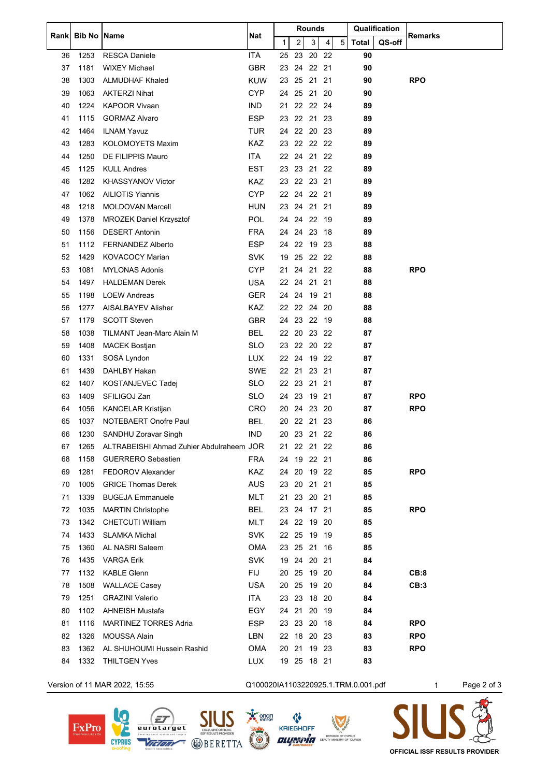|    |      | Rank Bib No   Name                       | Nat                                 | Rounds       |             |              |   |   | Qualification |        | Remarks    |             |
|----|------|------------------------------------------|-------------------------------------|--------------|-------------|--------------|---|---|---------------|--------|------------|-------------|
|    |      |                                          |                                     | $\mathbf{1}$ | 2           | $\mathbf{3}$ | 4 | 5 | Total         | QS-off |            |             |
| 36 | 1253 | <b>RESCA Daniele</b>                     | <b>ITA</b>                          |              | 25 23 20 22 |              |   |   | 90            |        |            |             |
| 37 | 1181 | <b>WIXEY Michael</b>                     | <b>GBR</b>                          | 23           | 24 22 21    |              |   |   | 90            |        |            |             |
| 38 | 1303 | <b>ALMUDHAF Khaled</b>                   | <b>KUW</b>                          | 23           | 25 21 21    |              |   |   | 90            |        | <b>RPO</b> |             |
| 39 | 1063 | <b>AKTERZI Nihat</b>                     | <b>CYP</b>                          |              | 24 25 21 20 |              |   |   | 90            |        |            |             |
| 40 | 1224 | <b>KAPOOR Vivaan</b>                     | <b>IND</b>                          | 21           | 22 22 24    |              |   |   | 89            |        |            |             |
| 41 | 1115 | <b>GORMAZ Alvaro</b>                     | <b>ESP</b>                          |              | 23 22 21 23 |              |   |   | 89            |        |            |             |
| 42 | 1464 | <b>ILNAM Yavuz</b>                       | <b>TUR</b>                          |              | 24 22 20 23 |              |   |   | 89            |        |            |             |
| 43 | 1283 | <b>KOLOMOYETS Maxim</b>                  | <b>KAZ</b>                          |              | 23 22 22 22 |              |   |   | 89            |        |            |             |
| 44 | 1250 | DE FILIPPIS Mauro                        | ITA                                 |              | 22 24 21 22 |              |   |   | 89            |        |            |             |
| 45 | 1125 | <b>KULL Andres</b>                       | <b>EST</b>                          |              | 23 23 21 22 |              |   |   | 89            |        |            |             |
| 46 | 1282 | <b>KHASSYANOV Victor</b>                 | KAZ                                 |              | 23 22 23 21 |              |   |   | 89            |        |            |             |
| 47 | 1062 | <b>AILIOTIS Yiannis</b>                  | <b>CYP</b>                          | 22           | 24 22 21    |              |   |   | 89            |        |            |             |
| 48 | 1218 | MOLDOVAN Marcell                         | <b>HUN</b>                          |              | 23 24 21 21 |              |   |   | 89            |        |            |             |
| 49 | 1378 | <b>MROZEK Daniel Krzysztof</b>           | <b>POL</b>                          |              | 24 24 22 19 |              |   |   | 89            |        |            |             |
| 50 | 1156 | <b>DESERT Antonin</b>                    | FRA                                 |              | 24 24 23 18 |              |   |   | 89            |        |            |             |
| 51 | 1112 | <b>FERNANDEZ Alberto</b>                 | <b>ESP</b>                          | 24           | 22 19 23    |              |   |   | 88            |        |            |             |
| 52 | 1429 | <b>KOVACOCY Marian</b>                   | SVK.                                | 19           | 25 22 22    |              |   |   | 88            |        |            |             |
| 53 | 1081 | <b>MYLONAS Adonis</b>                    | <b>CYP</b>                          |              | 21 24 21 22 |              |   |   | 88            |        | <b>RPO</b> |             |
| 54 | 1497 | <b>HALDEMAN Derek</b>                    | <b>USA</b>                          | 22           | 24          | 21 21        |   |   | 88            |        |            |             |
| 55 | 1198 | <b>LOEW Andreas</b>                      | <b>GER</b>                          | 24           | 24          | 19 21        |   |   | 88            |        |            |             |
| 56 | 1277 | AISALBAYEV Alisher                       | <b>KAZ</b>                          |              | 22 22 24 20 |              |   |   | 88            |        |            |             |
| 57 | 1179 | <b>SCOTT Steven</b>                      | <b>GBR</b>                          |              | 24 23 22 19 |              |   |   | 88            |        |            |             |
| 58 | 1038 | TILMANT Jean-Marc Alain M                | <b>BEL</b>                          | 22           | 20 23 22    |              |   |   | 87            |        |            |             |
| 59 | 1408 | <b>MACEK Bostjan</b>                     | SLO.                                |              | 23 22 20 22 |              |   |   | 87            |        |            |             |
| 60 | 1331 | SOSA Lyndon                              | <b>LUX</b>                          |              | 22 24 19 22 |              |   |   | 87            |        |            |             |
| 61 | 1439 | DAHLBY Hakan                             | <b>SWE</b>                          |              | 22 21 23 21 |              |   |   | 87            |        |            |             |
| 62 | 1407 | <b>KOSTANJEVEC Tadej</b>                 | <b>SLO</b>                          |              | 22 23       | 21 21        |   |   | 87            |        |            |             |
| 63 | 1409 | SFILIGOJ Zan                             | SLO                                 |              | 24 23 19 21 |              |   |   | 87            |        | <b>RPO</b> |             |
| 64 | 1056 | <b>KANCELAR Kristijan</b>                | CRO                                 |              | 20 24 23 20 |              |   |   | 87            |        | <b>RPO</b> |             |
| 65 | 1037 | NOTEBAERT Onofre Paul                    | <b>BEL</b>                          | 20           | 22 21 23    |              |   |   | 86            |        |            |             |
| 66 | 1230 | <b>SANDHU Zoravar Singh</b>              | <b>IND</b>                          |              | 20 23 21 22 |              |   |   | 86            |        |            |             |
| 67 | 1265 | ALTRABEISHI Ahmad Zuhier Abdulraheem JOR |                                     | 21.          | 22 21 22    |              |   |   | 86            |        |            |             |
| 68 | 1158 | <b>GUERRERO Sebastien</b>                | <b>FRA</b>                          |              | 24 19 22 21 |              |   |   | 86            |        |            |             |
| 69 | 1281 | <b>FEDOROV Alexander</b>                 | <b>KAZ</b>                          | 24           | 20          | 19 22        |   |   | 85            |        | <b>RPO</b> |             |
| 70 | 1005 | <b>GRICE Thomas Derek</b>                | AUS                                 | 23           | 20          | 21 21        |   |   | 85            |        |            |             |
| 71 | 1339 | <b>BUGEJA Emmanuele</b>                  | <b>MLT</b>                          |              | 21 23 20 21 |              |   |   | 85            |        |            |             |
| 72 | 1035 | <b>MARTIN Christophe</b>                 | <b>BEL</b>                          | 23           | 24 17 21    |              |   |   | 85            |        | <b>RPO</b> |             |
| 73 | 1342 | <b>CHETCUTI William</b>                  | <b>MLT</b>                          |              | 24 22       | 19 20        |   |   | 85            |        |            |             |
| 74 | 1433 | <b>SLAMKA Michal</b>                     | <b>SVK</b>                          |              | 22 25 19 19 |              |   |   | 85            |        |            |             |
| 75 | 1360 | AL NASRI Saleem                          | <b>OMA</b>                          |              | 23 25 21 16 |              |   |   | 85            |        |            |             |
| 76 | 1435 | <b>VARGA Erik</b>                        | <b>SVK</b>                          |              |             |              |   |   |               |        |            |             |
|    |      |                                          |                                     | 19           | 24 20 21    |              |   |   | 84            |        |            |             |
| 77 | 1132 | <b>KABLE Glenn</b>                       | <b>FIJ</b>                          |              | 20 25       | 19 20        |   |   | 84            |        | CB:8       |             |
| 78 | 1508 | <b>WALLACE Casey</b>                     | <b>USA</b>                          |              | 20 25 19 20 |              |   |   | 84            |        | CB:3       |             |
| 79 | 1251 | <b>GRAZINI Valerio</b>                   | ITA                                 | 23           | 23          | 18 20        |   |   | 84            |        |            |             |
| 80 | 1102 | <b>AHNEISH Mustafa</b>                   | EGY                                 | 24 21        |             | 20 19        |   |   | 84            |        |            |             |
| 81 | 1116 | <b>MARTINEZ TORRES Adria</b>             | ESP                                 |              | 23 23 20 18 |              |   |   | 84            |        | <b>RPO</b> |             |
| 82 | 1326 | <b>MOUSSA Alain</b>                      | LBN                                 |              | 22 18 20 23 |              |   |   | 83            |        | <b>RPO</b> |             |
| 83 | 1362 | AL SHUHOUMI Hussein Rashid               | <b>OMA</b>                          |              | 20 21 19 23 |              |   |   | 83            |        | <b>RPO</b> |             |
| 84 | 1332 | <b>THILTGEN Yves</b>                     | <b>LUX</b>                          |              | 19 25 18 21 |              |   |   | 83            |        |            |             |
|    |      | Version of 11 MAR 2022, 15:55            | Q100020IA1103220925.1.TRM.0.001.pdf |              |             |              |   |   |               |        | 1          | Page 2 of 3 |